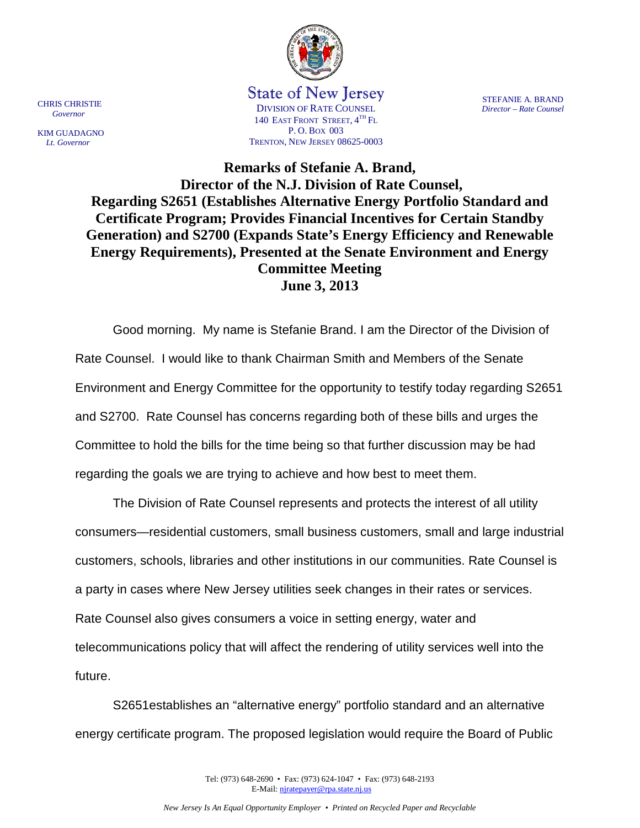

State of New Jersey DIVISION OF RATE COUNSEL 140 EAST FRONT STREET,  $4^{TH}$  Fl P. O. BOX 003 TRENTON, NEW JERSEY 08625-0003

CHRIS CHRISTIE  *Governor* KIM GUADAGNO  *Lt. Governor*

STEFANIE A. BRAND *Director – Rate Counsel*

**Remarks of Stefanie A. Brand, Director of the N.J. Division of Rate Counsel, Regarding S2651 (Establishes Alternative Energy Portfolio Standard and Certificate Program; Provides Financial Incentives for Certain Standby Generation) and S2700 (Expands State's Energy Efficiency and Renewable Energy Requirements), Presented at the Senate Environment and Energy Committee Meeting June 3, 2013** 

 Good morning. My name is Stefanie Brand. I am the Director of the Division of Rate Counsel. I would like to thank Chairman Smith and Members of the Senate Environment and Energy Committee for the opportunity to testify today regarding S2651 and S2700. Rate Counsel has concerns regarding both of these bills and urges the Committee to hold the bills for the time being so that further discussion may be had regarding the goals we are trying to achieve and how best to meet them.

 The Division of Rate Counsel represents and protects the interest of all utility consumers—residential customers, small business customers, small and large industrial customers, schools, libraries and other institutions in our communities. Rate Counsel is a party in cases where New Jersey utilities seek changes in their rates or services. Rate Counsel also gives consumers a voice in setting energy, water and telecommunications policy that will affect the rendering of utility services well into the future.

S2651establishes an "alternative energy" portfolio standard and an alternative energy certificate program. The proposed legislation would require the Board of Public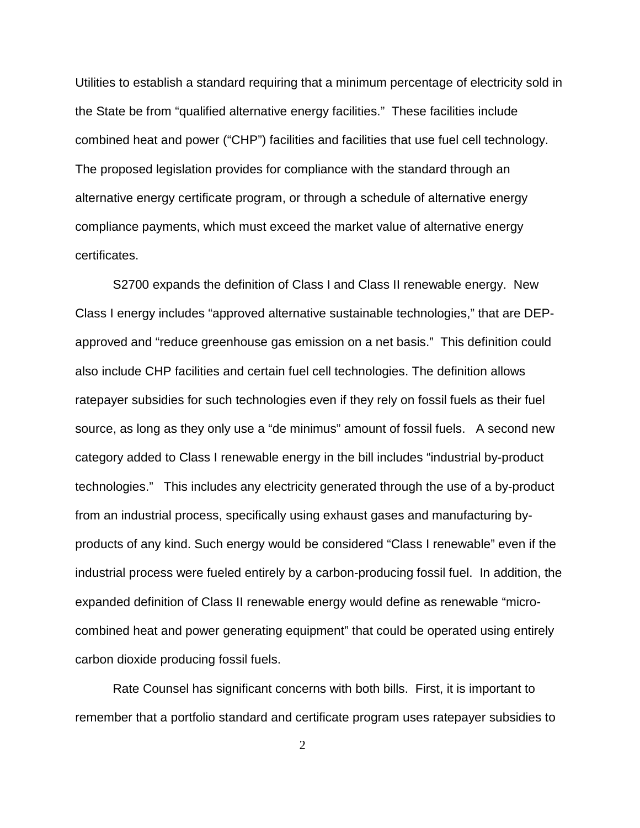Utilities to establish a standard requiring that a minimum percentage of electricity sold in the State be from "qualified alternative energy facilities." These facilities include combined heat and power ("CHP") facilities and facilities that use fuel cell technology. The proposed legislation provides for compliance with the standard through an alternative energy certificate program, or through a schedule of alternative energy compliance payments, which must exceed the market value of alternative energy certificates.

S2700 expands the definition of Class I and Class II renewable energy. New Class I energy includes "approved alternative sustainable technologies," that are DEPapproved and "reduce greenhouse gas emission on a net basis." This definition could also include CHP facilities and certain fuel cell technologies. The definition allows ratepayer subsidies for such technologies even if they rely on fossil fuels as their fuel source, as long as they only use a "de minimus" amount of fossil fuels. A second new category added to Class I renewable energy in the bill includes "industrial by-product technologies." This includes any electricity generated through the use of a by-product from an industrial process, specifically using exhaust gases and manufacturing byproducts of any kind. Such energy would be considered "Class I renewable" even if the industrial process were fueled entirely by a carbon-producing fossil fuel. In addition, the expanded definition of Class II renewable energy would define as renewable "microcombined heat and power generating equipment" that could be operated using entirely carbon dioxide producing fossil fuels.

Rate Counsel has significant concerns with both bills. First, it is important to remember that a portfolio standard and certificate program uses ratepayer subsidies to

2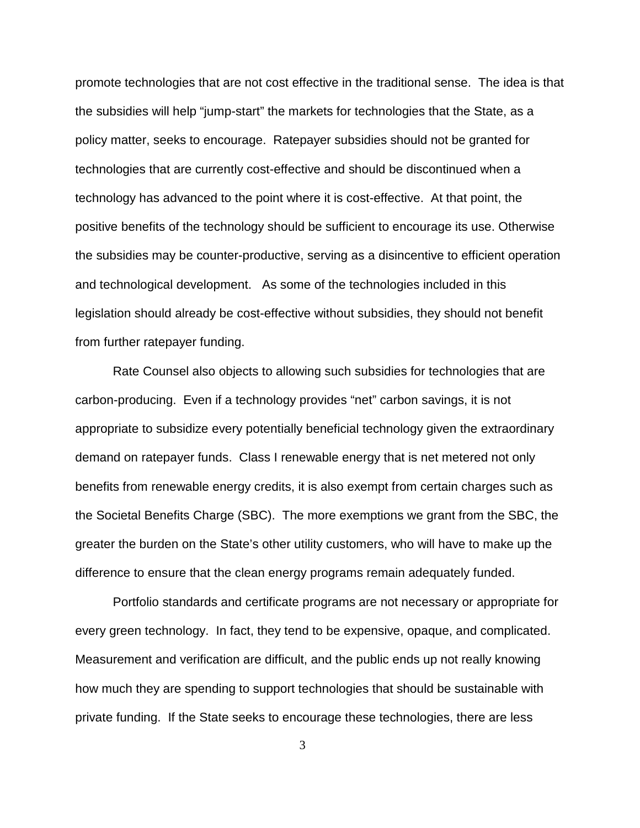promote technologies that are not cost effective in the traditional sense. The idea is that the subsidies will help "jump-start" the markets for technologies that the State, as a policy matter, seeks to encourage. Ratepayer subsidies should not be granted for technologies that are currently cost-effective and should be discontinued when a technology has advanced to the point where it is cost-effective. At that point, the positive benefits of the technology should be sufficient to encourage its use. Otherwise the subsidies may be counter-productive, serving as a disincentive to efficient operation and technological development. As some of the technologies included in this legislation should already be cost-effective without subsidies, they should not benefit from further ratepayer funding.

Rate Counsel also objects to allowing such subsidies for technologies that are carbon-producing. Even if a technology provides "net" carbon savings, it is not appropriate to subsidize every potentially beneficial technology given the extraordinary demand on ratepayer funds. Class I renewable energy that is net metered not only benefits from renewable energy credits, it is also exempt from certain charges such as the Societal Benefits Charge (SBC). The more exemptions we grant from the SBC, the greater the burden on the State's other utility customers, who will have to make up the difference to ensure that the clean energy programs remain adequately funded.

Portfolio standards and certificate programs are not necessary or appropriate for every green technology. In fact, they tend to be expensive, opaque, and complicated. Measurement and verification are difficult, and the public ends up not really knowing how much they are spending to support technologies that should be sustainable with private funding. If the State seeks to encourage these technologies, there are less

3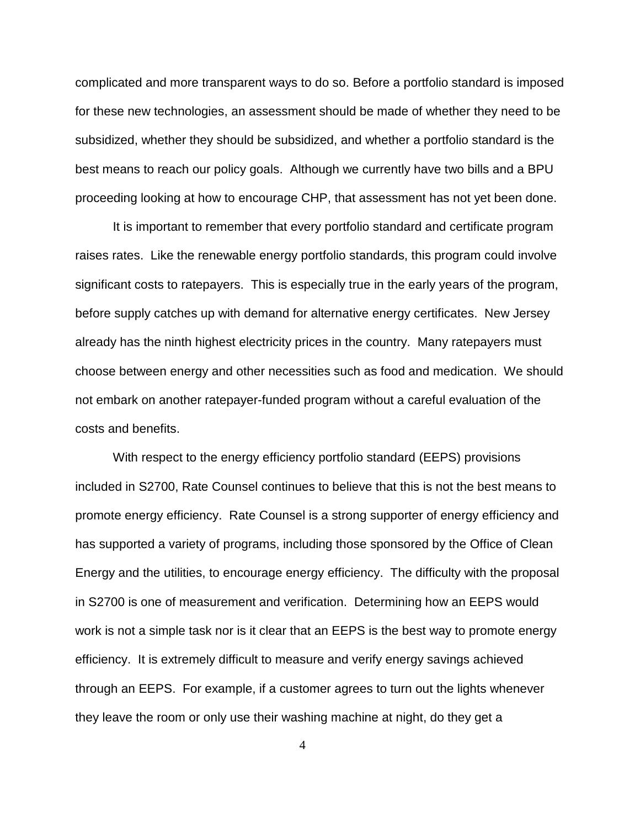complicated and more transparent ways to do so. Before a portfolio standard is imposed for these new technologies, an assessment should be made of whether they need to be subsidized, whether they should be subsidized, and whether a portfolio standard is the best means to reach our policy goals. Although we currently have two bills and a BPU proceeding looking at how to encourage CHP, that assessment has not yet been done.

 It is important to remember that every portfolio standard and certificate program raises rates. Like the renewable energy portfolio standards, this program could involve significant costs to ratepayers. This is especially true in the early years of the program, before supply catches up with demand for alternative energy certificates. New Jersey already has the ninth highest electricity prices in the country. Many ratepayers must choose between energy and other necessities such as food and medication. We should not embark on another ratepayer-funded program without a careful evaluation of the costs and benefits.

 With respect to the energy efficiency portfolio standard (EEPS) provisions included in S2700, Rate Counsel continues to believe that this is not the best means to promote energy efficiency. Rate Counsel is a strong supporter of energy efficiency and has supported a variety of programs, including those sponsored by the Office of Clean Energy and the utilities, to encourage energy efficiency. The difficulty with the proposal in S2700 is one of measurement and verification. Determining how an EEPS would work is not a simple task nor is it clear that an EEPS is the best way to promote energy efficiency. It is extremely difficult to measure and verify energy savings achieved through an EEPS. For example, if a customer agrees to turn out the lights whenever they leave the room or only use their washing machine at night, do they get a

4